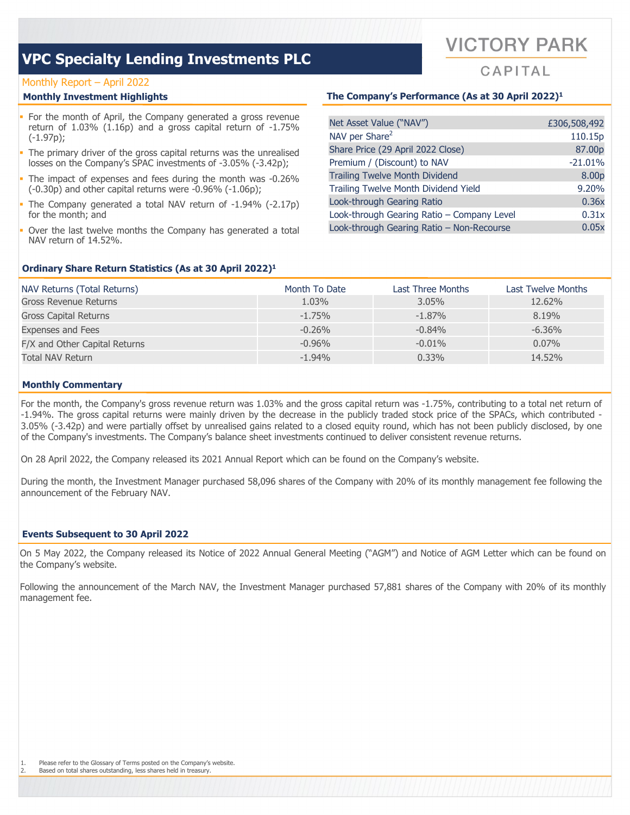#### Monthly Report – April 2022

- For the month of April, the Company generated a gross revenue return of 1.03% (1.16p) and a gross capital return of -1.75% (-1.97p);
- The primary driver of the gross capital returns was the unrealised losses on the Company's SPAC investments of -3.05% (-3.42p);
- The impact of expenses and fees during the month was -0.26% (-0.30p) and other capital returns were -0.96% (-1.06p);
- The Company generated a total NAV return of -1.94% (-2.17p) for the month; and
- Over the last twelve months the Company has generated a total NAV return of 14.52%.

#### **Monthly Investment Highlights The Company's Performance (As at 30 April 2022)1**

| Net Asset Value ("NAV")                    | £306,508,492 |
|--------------------------------------------|--------------|
| NAV per Share <sup>2</sup>                 | 110.15p      |
| Share Price (29 April 2022 Close)          | 87.00p       |
| Premium / (Discount) to NAV                | $-21.01%$    |
| <b>Trailing Twelve Month Dividend</b>      | 8.00p        |
| Trailing Twelve Month Dividend Yield       | 9.20%        |
| Look-through Gearing Ratio                 | 0.36x        |
| Look-through Gearing Ratio - Company Level | 0.31x        |
| Look-through Gearing Ratio - Non-Recourse  | 0.05x        |
|                                            |              |

#### **Ordinary Share Return Statistics (As at 30 April 2022)1**

| NAV Returns (Total Returns)   | Month To Date | Last Three Months | Last Twelve Months |
|-------------------------------|---------------|-------------------|--------------------|
| Gross Revenue Returns         | 1.03%         | $3.05\%$          | 12.62%             |
| <b>Gross Capital Returns</b>  | $-1.75%$      | $-1.87%$          | 8.19%              |
| <b>Expenses and Fees</b>      | $-0.26\%$     | $-0.84\%$         | $-6.36\%$          |
| F/X and Other Capital Returns | $-0.96%$      | $-0.01\%$         | $0.07\%$           |
| Total NAV Return              | $-1.94%$      | $0.33\%$          | 14.52%             |

#### **Monthly Commentary**

For the month, the Company's gross revenue return was 1.03% and the gross capital return was -1.75%, contributing to a total net return of -1.94%. The gross capital returns were mainly driven by the decrease in the publicly traded stock price of the SPACs, which contributed - 3.05% (-3.42p) and were partially offset by unrealised gains related to a closed equity round, which has not been publicly disclosed, by one of the Company's investments. The Company's balance sheet investments continued to deliver consistent revenue returns.

On 28 April 2022, the Company released its 2021 Annual Report which can be found on the Company's website.

During the month, the Investment Manager purchased 58,096 shares of the Company with 20% of its monthly management fee following the announcement of the February NAV.

#### **Events Subsequent to 30 April 2022**

On 5 May 2022, the Company released its Notice of 2022 Annual General Meeting ("AGM") and Notice of AGM Letter which can be found on the Company's website.

Following the announcement of the March NAV, the Investment Manager purchased 57,881 shares of the Company with 20% of its monthly management fee.

# **VICTORY PARK**

 $CAP|TAI$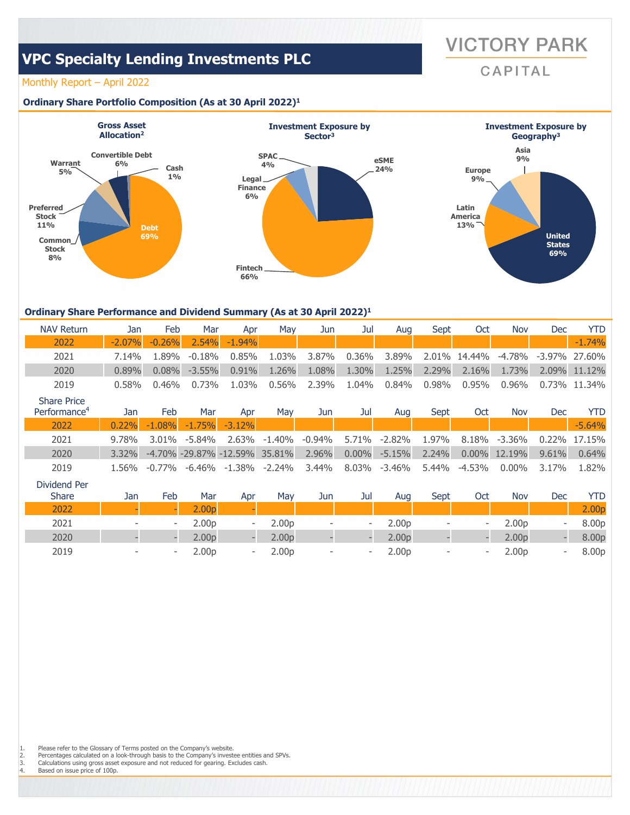**VICTORY PARK** CAPITAL

### Monthly Report – April 2022

#### **Ordinary Share Portfolio Composition (As at 30 April 2022)1**



#### **Ordinary Share Performance and Dividend Summary (As at 30 April 2022)1**

| <b>NAV Return</b>  | Jan      | Feb      | Mar       | Apr      | Mav      | Jun   | Jul      | Aua      | Sept  | Oct          | <b>Nov</b> | Dec | YTD.             |
|--------------------|----------|----------|-----------|----------|----------|-------|----------|----------|-------|--------------|------------|-----|------------------|
| 2022               | $-2.07%$ | $-0.26%$ | 2.54%     | $-1.94%$ |          |       |          |          |       |              |            |     | $-1.74%$         |
| 2021               | 7.14%    | 1.89%    | $-0.18%$  | $0.85\%$ | 1.03%    | 3.87% | $0.36\%$ | 3.89%    |       | 2.01% 14.44% | -4.78%     |     | $-3.97\%$ 27.60% |
| 2020               | 0.89%    | 0.08%    | $-3.55\%$ | 0.91%    | 1.26%    | 1.08% | 1.30%    | 1.25%    | 2.29% | 2.16%        | 1.73%      |     | 2.09% 11.12%     |
| 2019               | 0.58%    | 0.46%    | 0.73%     | $1.03\%$ | $0.56\%$ | 2.39% | 1.04%    | $0.84\%$ | 0.98% | 0.95%        | $0.96\%$   |     | $0.73\%$ 11.34%  |
| <b>Share Price</b> |          |          |           |          |          |       |          |          |       |              |            |     |                  |

| Performance <sup>4</sup> | Jan      | Feb      | Mar      | Apr                           | Mav          | Jun   | Jul          | Aua      | Sept  | Oct    | Nov             | Dec   | <b>YTD</b>   |
|--------------------------|----------|----------|----------|-------------------------------|--------------|-------|--------------|----------|-------|--------|-----------------|-------|--------------|
| 2022                     | 0.22%    | $-1.08%$ | $-1.75%$ | $-3.12%$                      |              |       |              |          |       |        |                 |       | $-5.64%$     |
| 2021                     | 9.78%    | 3.01%    | -5.84%   |                               | 2.63% -1.40% |       | -0.94% 5.71% | -2.82%   | 1.97% | 8.18%  | -3.36%          |       | 0.22% 17.15% |
| 2020                     | $3.32\%$ |          |          | -4.70% -29.87% -12.59% 35.81% |              | 2.96% | $0.00\%$     | $-5.15%$ | 2.24% |        | $0.00\%$ 12.19% | 9.61% | 0.64%        |
| 2019                     | 1.56%    | -0.77%   |          | -6.46% -1.38% -2.24%          |              | 3.44% | 8.03%        | -3.46%   | 5.44% | -4.53% | $0.00\%$        | 3.17% | 1.82%        |

| Dividend Per<br><b>Share</b> | Jan                      | Feb                      | Mar               | Apr                      | May               | Jun                      | Jul                      | Aug               | Sept                     | Oct                      | Nov               | Dec                      | YTD               |
|------------------------------|--------------------------|--------------------------|-------------------|--------------------------|-------------------|--------------------------|--------------------------|-------------------|--------------------------|--------------------------|-------------------|--------------------------|-------------------|
| 2022                         |                          |                          | 00 <sub>D</sub>   |                          |                   |                          |                          |                   |                          |                          |                   |                          | 2.00 <sub>p</sub> |
| 2021                         | $\overline{\phantom{a}}$ | $\overline{\phantom{a}}$ | 2.00 <sub>D</sub> | $\overline{\phantom{a}}$ | 2.00 <sub>p</sub> | $\overline{\phantom{a}}$ | $\overline{\phantom{a}}$ | 2.00 <sub>p</sub> | $\overline{\phantom{a}}$ | $\overline{\phantom{a}}$ | 2.00 <sub>p</sub> | ۰                        | 8.00p             |
| 2020                         |                          |                          | 2.00 <sub>D</sub> |                          | 2.00 <sub>D</sub> |                          |                          | 2.00 <sub>D</sub> |                          |                          | 2.00 <sub>D</sub> |                          | 8.00p             |
| 2019                         | $\overline{\phantom{a}}$ | $\overline{\phantom{a}}$ | 2.00 <sub>p</sub> | $\overline{\phantom{a}}$ | 2.00 <sub>p</sub> | $\overline{\phantom{a}}$ | $\overline{\phantom{0}}$ | 2.00 <sub>p</sub> | $\overline{\phantom{0}}$ | $\overline{\phantom{a}}$ | 2.00 <sub>p</sub> | $\overline{\phantom{a}}$ | 8.00p             |

1. Please refer to the Glossary of Terms posted on the Company's website.<br>2. Percentages calculated on a look-through basis to the Company's investe 2. Percentages calculated on a look-through basis to the Company's investee entities and SPVs.<br>3. Calculations using gross asset exposure and not reduced for gearing. Excludes cash.<br>4. Based on issue price of 100p.

Calculations using gross asset exposure and not reduced for gearing. Excludes cash.

Based on issue price of 100p.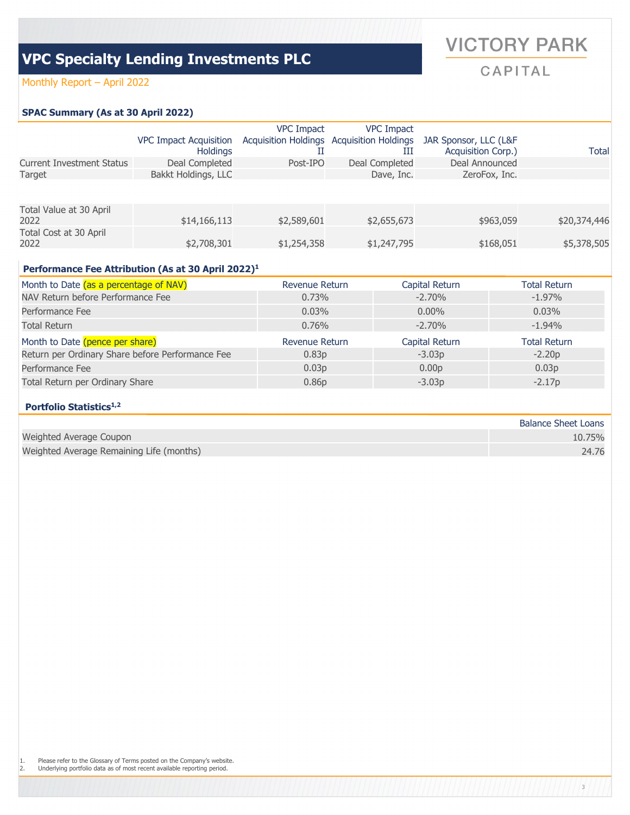### Monthly Report – April 2022

### **SPAC Summary (As at 30 April 2022)**

|                                  |                               | <b>VPC Impact</b> | <b>VPC Impact</b>                         |                       |              |
|----------------------------------|-------------------------------|-------------------|-------------------------------------------|-----------------------|--------------|
|                                  | <b>VPC Impact Acquisition</b> |                   | Acquisition Holdings Acquisition Holdings | JAR Sponsor, LLC (L&F |              |
|                                  | <b>Holdings</b>               |                   | Ш                                         | Acquisition Corp.)    | <b>Total</b> |
| <b>Current Investment Status</b> | Deal Completed                | Post-IPO          | Deal Completed                            | Deal Announced        |              |
| Target                           | Bakkt Holdings, LLC           |                   | Dave, Inc.                                | ZeroFox, Inc.         |              |
|                                  |                               |                   |                                           |                       |              |
| Total Value at 30 April          |                               |                   |                                           |                       |              |
| 2022                             | \$14,166,113                  | \$2,589,601       | \$2,655,673                               | \$963,059             | \$20,374,446 |
| Total Cost at 30 April           |                               |                   |                                           |                       |              |
| 2022                             | \$2,708,301                   | \$1,254,358       | \$1,247,795                               | \$168,051             | \$5,378,505  |

#### **Performance Fee Attribution (As at 30 April 2022)1**

| Month to Date (as a percentage of NAV)           | Revenue Return    | Capital Return    | Total Return      |
|--------------------------------------------------|-------------------|-------------------|-------------------|
| NAV Return before Performance Fee                | 0.73%             | $-2.70\%$         | $-1.97%$          |
| Performance Fee                                  | $0.03\%$          | $0.00\%$          | $0.03\%$          |
| Total Return                                     | $0.76\%$          | $-2.70\%$         | $-1.94%$          |
| Month to Date (pence per share)                  | Revenue Return    | Capital Return    | Total Return      |
| Return per Ordinary Share before Performance Fee | 0.83 <sub>p</sub> | $-3.03p$          | $-2.20p$          |
| Performance Fee                                  | 0.03 <sub>p</sub> | 0.00 <sub>p</sub> | 0.03 <sub>p</sub> |
| Total Return per Ordinary Share                  | 0.86 <sub>p</sub> | $-3.03p$          | $-2.17p$          |

### **Portfolio Statistics1,2**

|                                          | <b>Balance Sheet Loans</b> |
|------------------------------------------|----------------------------|
| Weighted Average Coupon                  | 10.75%                     |
| Weighted Average Remaining Life (months) | 24.76                      |

# **VICTORY PARK**

CAPITAL

3